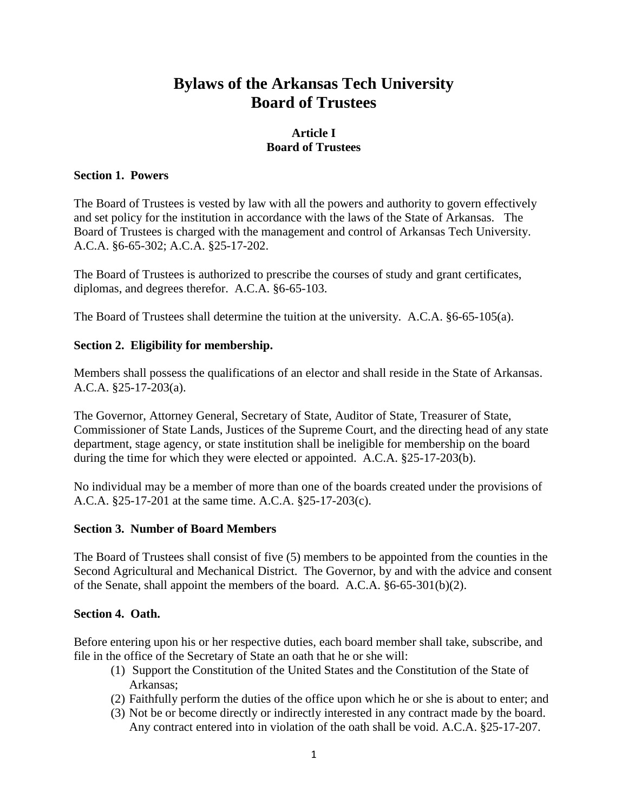# **Bylaws of the Arkansas Tech University Board of Trustees**

# **Article I Board of Trustees**

#### **Section 1. Powers**

The Board of Trustees is vested by law with all the powers and authority to govern effectively and set policy for the institution in accordance with the laws of the State of Arkansas. The Board of Trustees is charged with the management and control of Arkansas Tech University. A.C.A. §6-65-302; A.C.A. §25-17-202.

The Board of Trustees is authorized to prescribe the courses of study and grant certificates, diplomas, and degrees therefor. A.C.A. §6-65-103.

The Board of Trustees shall determine the tuition at the university. A.C.A. §6-65-105(a).

#### **Section 2. Eligibility for membership.**

Members shall possess the qualifications of an elector and shall reside in the State of Arkansas. A.C.A. §25-17-203(a).

The Governor, Attorney General, Secretary of State, Auditor of State, Treasurer of State, Commissioner of State Lands, Justices of the Supreme Court, and the directing head of any state department, stage agency, or state institution shall be ineligible for membership on the board during the time for which they were elected or appointed. A.C.A. §25-17-203(b).

No individual may be a member of more than one of the boards created under the provisions of A.C.A. §25-17-201 at the same time. A.C.A. §25-17-203(c).

#### **Section 3. Number of Board Members**

The Board of Trustees shall consist of five (5) members to be appointed from the counties in the Second Agricultural and Mechanical District. The Governor, by and with the advice and consent of the Senate, shall appoint the members of the board. A.C.A. §6-65-301(b)(2).

#### **Section 4. Oath.**

Before entering upon his or her respective duties, each board member shall take, subscribe, and file in the office of the Secretary of State an oath that he or she will:

- (1) Support the Constitution of the United States and the Constitution of the State of Arkansas;
- (2) Faithfully perform the duties of the office upon which he or she is about to enter; and
- (3) Not be or become directly or indirectly interested in any contract made by the board. Any contract entered into in violation of the oath shall be void. A.C.A. §25-17-207.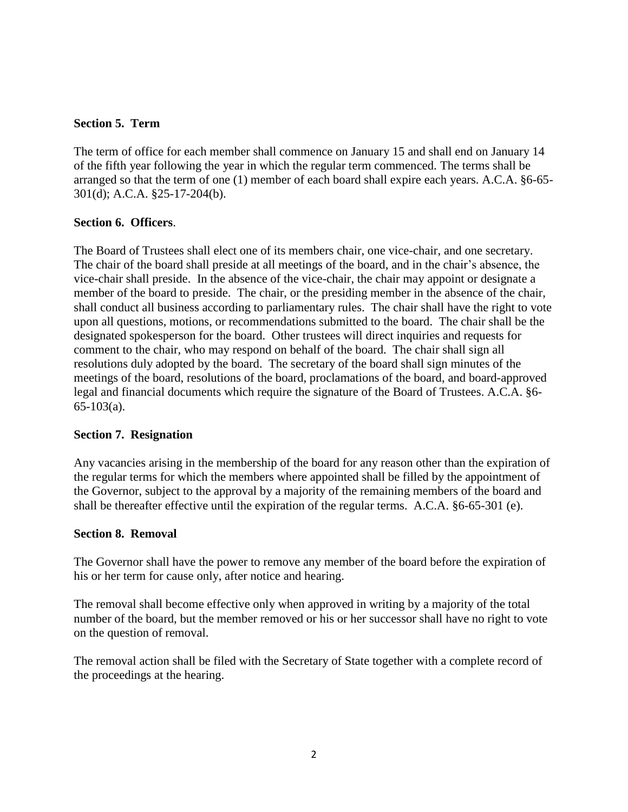### **Section 5. Term**

The term of office for each member shall commence on January 15 and shall end on January 14 of the fifth year following the year in which the regular term commenced. The terms shall be arranged so that the term of one (1) member of each board shall expire each years. A.C.A. §6-65- 301(d); A.C.A. §25-17-204(b).

## **Section 6. Officers**.

The Board of Trustees shall elect one of its members chair, one vice-chair, and one secretary. The chair of the board shall preside at all meetings of the board, and in the chair's absence, the vice-chair shall preside. In the absence of the vice-chair, the chair may appoint or designate a member of the board to preside. The chair, or the presiding member in the absence of the chair, shall conduct all business according to parliamentary rules. The chair shall have the right to vote upon all questions, motions, or recommendations submitted to the board. The chair shall be the designated spokesperson for the board. Other trustees will direct inquiries and requests for comment to the chair, who may respond on behalf of the board. The chair shall sign all resolutions duly adopted by the board. The secretary of the board shall sign minutes of the meetings of the board, resolutions of the board, proclamations of the board, and board-approved legal and financial documents which require the signature of the Board of Trustees. A.C.A. §6- 65-103(a).

#### **Section 7. Resignation**

Any vacancies arising in the membership of the board for any reason other than the expiration of the regular terms for which the members where appointed shall be filled by the appointment of the Governor, subject to the approval by a majority of the remaining members of the board and shall be thereafter effective until the expiration of the regular terms. A.C.A. §6-65-301 (e).

#### **Section 8. Removal**

The Governor shall have the power to remove any member of the board before the expiration of his or her term for cause only, after notice and hearing.

The removal shall become effective only when approved in writing by a majority of the total number of the board, but the member removed or his or her successor shall have no right to vote on the question of removal.

The removal action shall be filed with the Secretary of State together with a complete record of the proceedings at the hearing.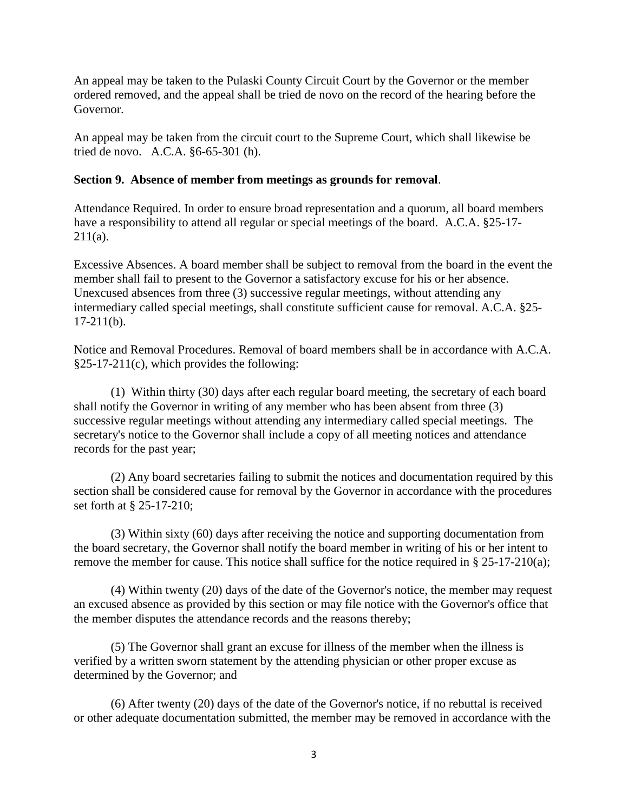An appeal may be taken to the Pulaski County Circuit Court by the Governor or the member ordered removed, and the appeal shall be tried de novo on the record of the hearing before the Governor.

An appeal may be taken from the circuit court to the Supreme Court, which shall likewise be tried de novo. A.C.A. §6-65-301 (h).

# **Section 9. Absence of member from meetings as grounds for removal**.

Attendance Required. In order to ensure broad representation and a quorum, all board members have a responsibility to attend all regular or special meetings of the board. A.C.A. §25-17- $211(a)$ .

Excessive Absences. A board member shall be subject to removal from the board in the event the member shall fail to present to the Governor a satisfactory excuse for his or her absence. Unexcused absences from three (3) successive regular meetings, without attending any intermediary called special meetings, shall constitute sufficient cause for removal. A.C.A. §25-  $17-211(b)$ .

Notice and Removal Procedures. Removal of board members shall be in accordance with A.C.A. §25-17-211(c), which provides the following:

(1) Within thirty (30) days after each regular board meeting, the secretary of each board shall notify the Governor in writing of any member who has been absent from three (3) successive regular meetings without attending any intermediary called special meetings. The secretary's notice to the Governor shall include a copy of all meeting notices and attendance records for the past year;

(2) Any board secretaries failing to submit the notices and documentation required by this section shall be considered cause for removal by the Governor in accordance with the procedures set forth at § 25-17-210;

(3) Within sixty (60) days after receiving the notice and supporting documentation from the board secretary, the Governor shall notify the board member in writing of his or her intent to remove the member for cause. This notice shall suffice for the notice required in  $\S 25-17-210(a)$ ;

(4) Within twenty (20) days of the date of the Governor's notice, the member may request an excused absence as provided by this section or may file notice with the Governor's office that the member disputes the attendance records and the reasons thereby;

(5) The Governor shall grant an excuse for illness of the member when the illness is verified by a written sworn statement by the attending physician or other proper excuse as determined by the Governor; and

(6) After twenty (20) days of the date of the Governor's notice, if no rebuttal is received or other adequate documentation submitted, the member may be removed in accordance with the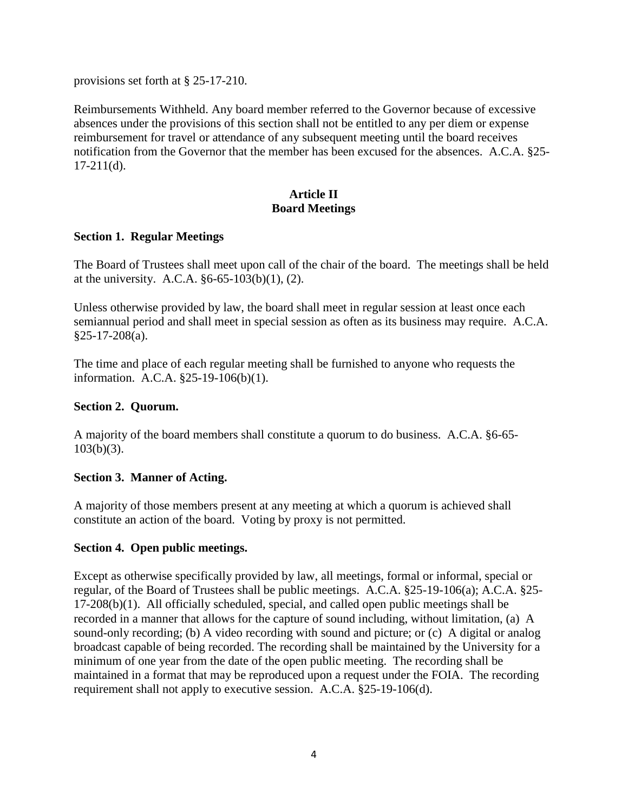provisions set forth at § 25-17-210.

Reimbursements Withheld. Any board member referred to the Governor because of excessive absences under the provisions of this section shall not be entitled to any per diem or expense reimbursement for travel or attendance of any subsequent meeting until the board receives notification from the Governor that the member has been excused for the absences. A.C.A. §25-  $17-211(d)$ .

# **Article II Board Meetings**

#### **Section 1. Regular Meetings**

The Board of Trustees shall meet upon call of the chair of the board. The meetings shall be held at the university. A.C.A. §6-65-103(b)(1), (2).

Unless otherwise provided by law, the board shall meet in regular session at least once each semiannual period and shall meet in special session as often as its business may require. A.C.A. §25-17-208(a).

The time and place of each regular meeting shall be furnished to anyone who requests the information. A.C.A. §25-19-106(b)(1).

### **Section 2. Quorum.**

A majority of the board members shall constitute a quorum to do business. A.C.A. §6-65-  $103(b)(3)$ .

#### **Section 3. Manner of Acting.**

A majority of those members present at any meeting at which a quorum is achieved shall constitute an action of the board. Voting by proxy is not permitted.

#### **Section 4. Open public meetings.**

Except as otherwise specifically provided by law, all meetings, formal or informal, special or regular, of the Board of Trustees shall be public meetings. A.C.A. §25-19-106(a); A.C.A. §25- 17-208(b)(1). All officially scheduled, special, and called open public meetings shall be recorded in a manner that allows for the capture of sound including, without limitation, (a) A sound-only recording; (b) A video recording with sound and picture; or (c) A digital or analog broadcast capable of being recorded. The recording shall be maintained by the University for a minimum of one year from the date of the open public meeting. The recording shall be maintained in a format that may be reproduced upon a request under the FOIA. The recording requirement shall not apply to executive session. A.C.A. §25-19-106(d).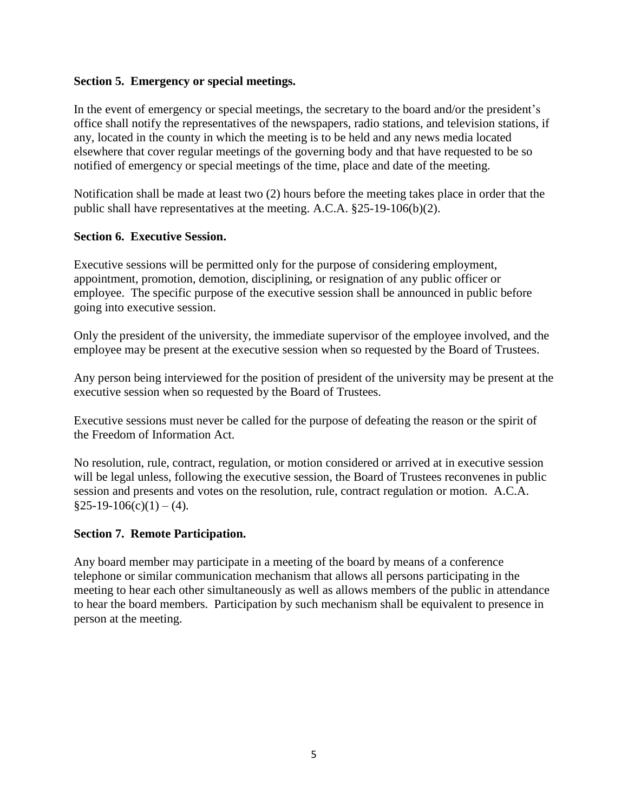## **Section 5. Emergency or special meetings.**

In the event of emergency or special meetings, the secretary to the board and/or the president's office shall notify the representatives of the newspapers, radio stations, and television stations, if any, located in the county in which the meeting is to be held and any news media located elsewhere that cover regular meetings of the governing body and that have requested to be so notified of emergency or special meetings of the time, place and date of the meeting.

Notification shall be made at least two (2) hours before the meeting takes place in order that the public shall have representatives at the meeting. A.C.A. §25-19-106(b)(2).

## **Section 6. Executive Session.**

Executive sessions will be permitted only for the purpose of considering employment, appointment, promotion, demotion, disciplining, or resignation of any public officer or employee. The specific purpose of the executive session shall be announced in public before going into executive session.

Only the president of the university, the immediate supervisor of the employee involved, and the employee may be present at the executive session when so requested by the Board of Trustees.

Any person being interviewed for the position of president of the university may be present at the executive session when so requested by the Board of Trustees.

Executive sessions must never be called for the purpose of defeating the reason or the spirit of the Freedom of Information Act.

No resolution, rule, contract, regulation, or motion considered or arrived at in executive session will be legal unless, following the executive session, the Board of Trustees reconvenes in public session and presents and votes on the resolution, rule, contract regulation or motion. A.C.A.  $§25-19-106(c)(1) - (4).$ 

#### **Section 7. Remote Participation.**

Any board member may participate in a meeting of the board by means of a conference telephone or similar communication mechanism that allows all persons participating in the meeting to hear each other simultaneously as well as allows members of the public in attendance to hear the board members. Participation by such mechanism shall be equivalent to presence in person at the meeting.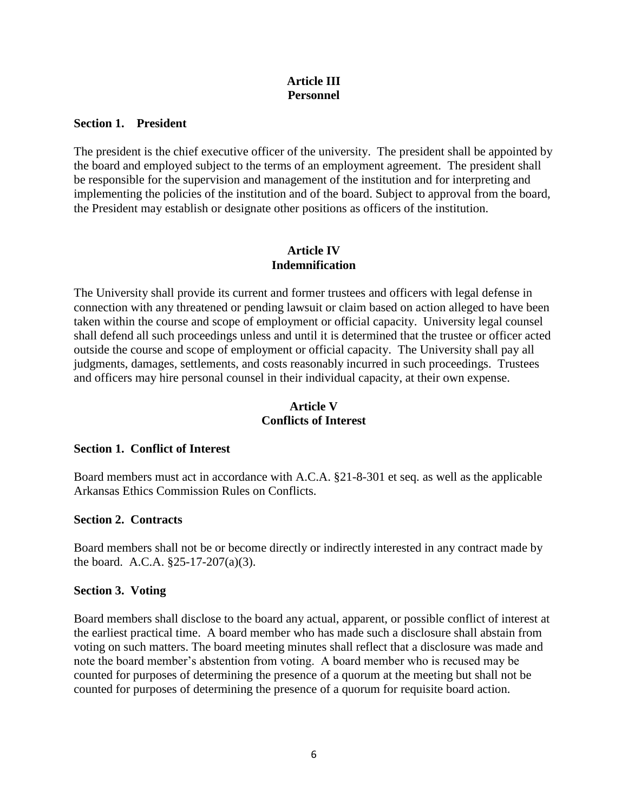## **Article III Personnel**

#### **Section 1. President**

The president is the chief executive officer of the university. The president shall be appointed by the board and employed subject to the terms of an employment agreement. The president shall be responsible for the supervision and management of the institution and for interpreting and implementing the policies of the institution and of the board. Subject to approval from the board, the President may establish or designate other positions as officers of the institution.

### **Article IV Indemnification**

The University shall provide its current and former trustees and officers with legal defense in connection with any threatened or pending lawsuit or claim based on action alleged to have been taken within the course and scope of employment or official capacity. University legal counsel shall defend all such proceedings unless and until it is determined that the trustee or officer acted outside the course and scope of employment or official capacity. The University shall pay all judgments, damages, settlements, and costs reasonably incurred in such proceedings. Trustees and officers may hire personal counsel in their individual capacity, at their own expense.

# **Article V Conflicts of Interest**

#### **Section 1. Conflict of Interest**

Board members must act in accordance with A.C.A. §21-8-301 et seq. as well as the applicable Arkansas Ethics Commission Rules on Conflicts.

#### **Section 2. Contracts**

Board members shall not be or become directly or indirectly interested in any contract made by the board. A.C.A. §25-17-207(a)(3).

#### **Section 3. Voting**

Board members shall disclose to the board any actual, apparent, or possible conflict of interest at the earliest practical time. A board member who has made such a disclosure shall abstain from voting on such matters. The board meeting minutes shall reflect that a disclosure was made and note the board member's abstention from voting. A board member who is recused may be counted for purposes of determining the presence of a quorum at the meeting but shall not be counted for purposes of determining the presence of a quorum for requisite board action.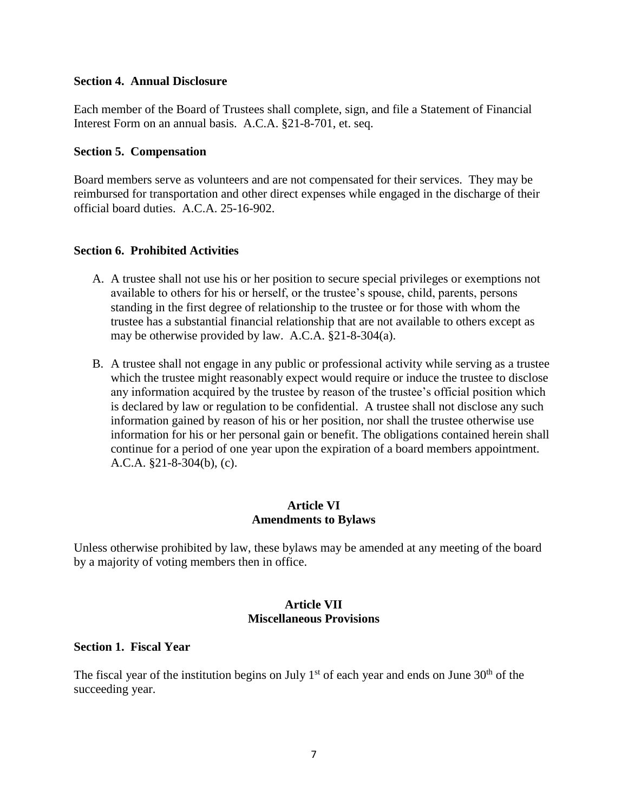#### **Section 4. Annual Disclosure**

Each member of the Board of Trustees shall complete, sign, and file a Statement of Financial Interest Form on an annual basis. A.C.A. §21-8-701, et. seq.

#### **Section 5. Compensation**

Board members serve as volunteers and are not compensated for their services. They may be reimbursed for transportation and other direct expenses while engaged in the discharge of their official board duties. A.C.A. 25-16-902.

#### **Section 6. Prohibited Activities**

- A. A trustee shall not use his or her position to secure special privileges or exemptions not available to others for his or herself, or the trustee's spouse, child, parents, persons standing in the first degree of relationship to the trustee or for those with whom the trustee has a substantial financial relationship that are not available to others except as may be otherwise provided by law. A.C.A. §21-8-304(a).
- B. A trustee shall not engage in any public or professional activity while serving as a trustee which the trustee might reasonably expect would require or induce the trustee to disclose any information acquired by the trustee by reason of the trustee's official position which is declared by law or regulation to be confidential. A trustee shall not disclose any such information gained by reason of his or her position, nor shall the trustee otherwise use information for his or her personal gain or benefit. The obligations contained herein shall continue for a period of one year upon the expiration of a board members appointment. A.C.A. §21-8-304(b), (c).

#### **Article VI Amendments to Bylaws**

Unless otherwise prohibited by law, these bylaws may be amended at any meeting of the board by a majority of voting members then in office.

#### **Article VII Miscellaneous Provisions**

#### **Section 1. Fiscal Year**

The fiscal year of the institution begins on July  $1<sup>st</sup>$  of each year and ends on June  $30<sup>th</sup>$  of the succeeding year.